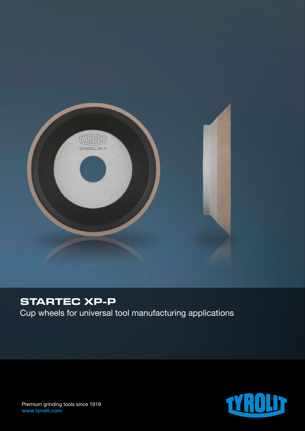

# **STARTEC XP-P**

Cup wheels for universal tool manufacturing applications



Premium grinding tools since 1919 www.tyrolit.com